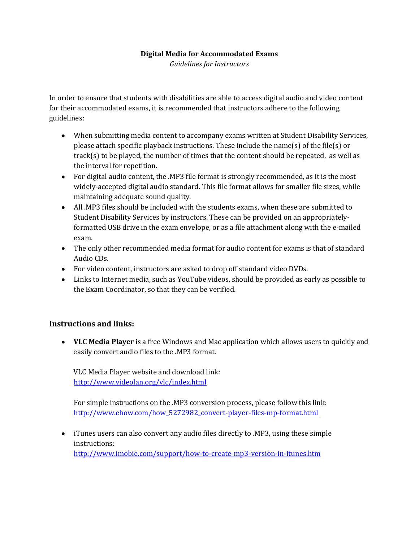#### **Digital Media for Accommodated Exams**

*Guidelines for Instructors*

In order to ensure that students with disabilities are able to access digital audio and video content for their accommodated exams, it is recommended that instructors adhere to the following guidelines:

- When submitting media content to accompany exams written at Student Disability Services, please attach specific playback instructions. These include the name(s) of the file(s) or track(s) to be played, the number of times that the content should be repeated, as well as the interval for repetition.
- For digital audio content, the .MP3 file format is strongly recommended, as it is the most widely-accepted digital audio standard. This file format allows for smaller file sizes, while maintaining adequate sound quality.
- All .MP3 files should be included with the students exams, when these are submitted to Student Disability Services by instructors. These can be provided on an appropriatelyformatted USB drive in the exam envelope, or as a file attachment along with the e-mailed exam.
- The only other recommended media format for audio content for exams is that of standard Audio CDs.
- For video content, instructors are asked to drop off standard video DVDs.
- Links to Internet media, such as YouTube videos, should be provided as early as possible to the Exam Coordinator, so that they can be verified.

### **Instructions and links:**

**VLC Media Player** is a free Windows and Mac application which allows users to quickly and easily convert audio files to the .MP3 format.

VLC Media Player website and download link: <http://www.videolan.org/vlc/index.html>

For simple instructions on the .MP3 conversion process, please follow this link: [http://www.ehow.com/how\\_5272982\\_convert-player-files-mp-format.html](http://www.ehow.com/how_5272982_convert-player-files-mp-format.html)

iTunes users can also convert any audio files directly to .MP3, using these simple instructions: <http://www.imobie.com/support/how-to-create-mp3-version-in-itunes.htm>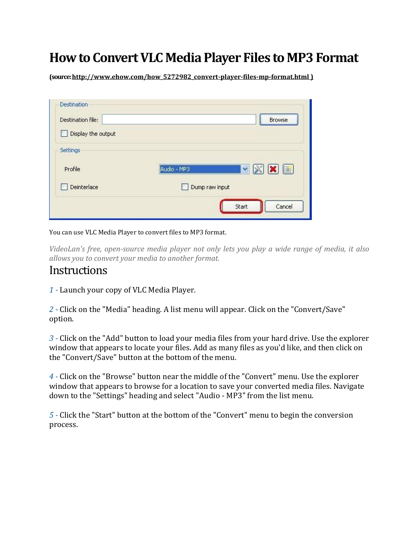# **How to Convert VLC Media Player Files to MP3 Format**

**(source[: http://www.ehow.com/how\\_5272982\\_convert-player-files-mp-format.html](http://www.ehow.com/how_5272982_convert-player-files-mp-format.html) )**

| Destination file:  | Browse                                                             |
|--------------------|--------------------------------------------------------------------|
| Display the output |                                                                    |
| Settings           |                                                                    |
| Profile            | $\mathbf{v}$ $\mathbf{X}$ $\mathbf{X}$ $\mathbf{E}$<br>Audio - MP3 |
| Deinterlace        | Dump raw input                                                     |
|                    | Start<br>Cancel                                                    |

You can use VLC Media Player to convert files to MP3 format.

*VideoLan's free, open-source media player not only lets you play a wide range of media, it also allows you to convert your media to another format.* 

## **Instructions**

*1 -* Launch your copy of VLC Media Player.

*2 -* Click on the "Media" heading. A list menu will appear. Click on the "Convert/Save" option.

*3 -* Click on the "Add" button to load your media files from your hard drive. Use the explorer window that appears to locate your files. Add as many files as you'd like, and then click on the "Convert/Save" button at the bottom of the menu.

*4 -* Click on the "Browse" button near the middle of the "Convert" menu. Use the explorer window that appears to browse for a location to save your converted media files. Navigate down to the "Settings" heading and select "Audio - MP3" from the list menu.

*5 -* Click the "Start" button at the bottom of the "Convert" menu to begin the conversion process.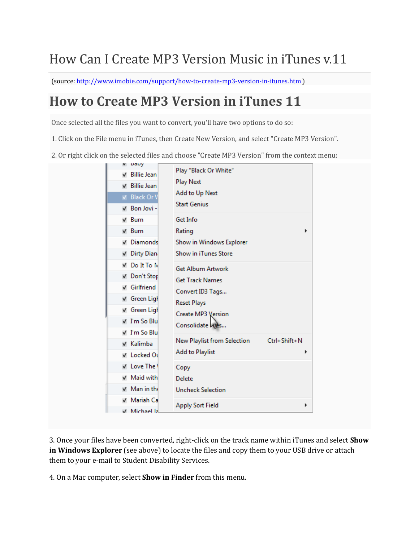# How Can I Create MP3 Version Music in iTunes v.11

(source:<http://www.imobie.com/support/how-to-create-mp3-version-in-itunes.htm> )

## **How to Create MP3 Version in iTunes 11**

Once selected all the files you want to convert, you'll have two options to do so:

1. Click on the File menu in iTunes, then Create New Version, and select "Create MP3 Version".

2. Or right click on the selected files and choose "Create MP3 Version" from the context menu:

| papy              |                                                                                                                                                                                          |  |  |
|-------------------|------------------------------------------------------------------------------------------------------------------------------------------------------------------------------------------|--|--|
| √ Billie Jean     | Play "Black Or White"                                                                                                                                                                    |  |  |
| √ Billie Jean     | <b>Play Next</b>                                                                                                                                                                         |  |  |
| V Black Or V      | Add to Up Next                                                                                                                                                                           |  |  |
| V Bon Jovi -      | <b>Start Genius</b>                                                                                                                                                                      |  |  |
| $\sqrt{B}$ urn    | Get Info                                                                                                                                                                                 |  |  |
| $\sqrt{B}$ urn    | Rating<br>Show in Windows Explorer<br>Show in iTunes Store                                                                                                                               |  |  |
| √ Diamonds        |                                                                                                                                                                                          |  |  |
| V Dirty Dian      |                                                                                                                                                                                          |  |  |
| √ Do It To N      | <b>Get Album Artwork</b>                                                                                                                                                                 |  |  |
| √ Don't Stop      | <b>Get Track Names</b><br>Convert ID3 Tags                                                                                                                                               |  |  |
| √ Girlfriend      |                                                                                                                                                                                          |  |  |
| √ Green Ligh      | <b>Reset Plays</b><br>Create MP3 Version<br>Consolidate Ares<br>Ctrl+Shift+N<br>New Playlist from Selection<br><b>Add to Playlist</b><br>▶<br>Copy<br>Delete<br><b>Uncheck Selection</b> |  |  |
| √ Green Ligh      |                                                                                                                                                                                          |  |  |
| √ I'm So Blu      |                                                                                                                                                                                          |  |  |
| √ I'm So Blu      |                                                                                                                                                                                          |  |  |
| √ Kalimba         |                                                                                                                                                                                          |  |  |
| V Locked Ou       |                                                                                                                                                                                          |  |  |
| V Love The        |                                                                                                                                                                                          |  |  |
| V Maid with       |                                                                                                                                                                                          |  |  |
| $\vee$ Man in the |                                                                                                                                                                                          |  |  |
| V Mariah Ca       |                                                                                                                                                                                          |  |  |
| V. Michael Ia     | <b>Apply Sort Field</b><br>▶                                                                                                                                                             |  |  |

3. Once your files have been converted, right-click on the track name within iTunes and select **Show in Windows Explorer** (see above) to locate the files and copy them to your USB drive or attach them to your e-mail to Student Disability Services.

4. On a Mac computer, select **Show in Finder** from this menu.